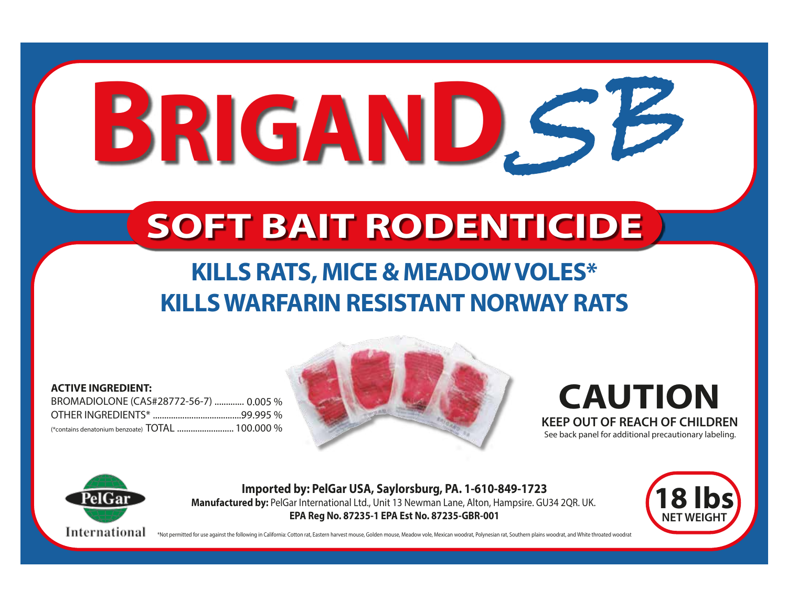# **BRIGAND** SB

## **SOFT BAIT RODENTICIDE**

## **KILLS RATS, MICE & MEADOW VOLES\* KILLS WARFARIN RESISTANT NORWAY RATS**

#### **ACTIVE INGREDIENT:**

BROMADIOLONE (CAS#28772-56-7) ............. 0.005 % OTHER INGREDIENTS\* ........................................ 99.995 % (\*contains denatonium benzoate) **TOTAL** .......................... 100.000 %



### **CAUTION KEEP OUT OF REACH OF CHILDREN** See back panel for additional precautionary labeling.

International

**Imported by: PelGar USA, Saylorsburg, PA. 1-610-849-1723 Manufactured by:** PelGar International Ltd., Unit 13 Newman Lane, Alton, Hampsire. GU34 2QR. UK. **EPA Reg No. 87235-1 EPA Est No. 87235-GBR-001**

\*Not permitted for use against the following in California: Cotton rat, Eastern harvest mouse, Golden mouse, Meadow vole, Mexican woodrat, Polynesian rat, Southern plains woodrat, and White throated woodrat